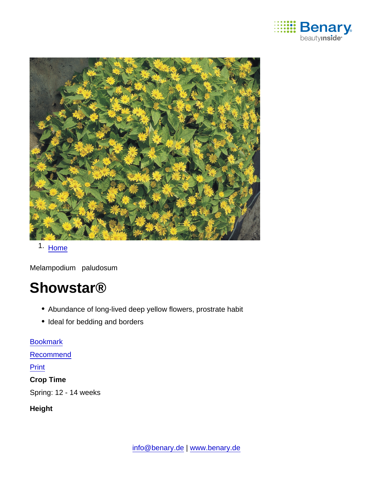

1. [Home](https://www.benary.com/)

Melampodium paludosum

# **Showstar®**

- Abundance of long-lived deep yellow flowers, prostrate habit
- Ideal for bedding and borders

[Bookmark](https://www.benary.com/flag/flag/product/6029?destination&token=Cr8ISbMlexdU6VH7635WkljATt9VS0SMEsHoPUeODvc) [Recommend](mailto:?subject=Benary Melampodium paludosum &body=https://www.benary.com/print/pdf/node/6029) Print Crop Time Spring: 12 - 14 weeks

Height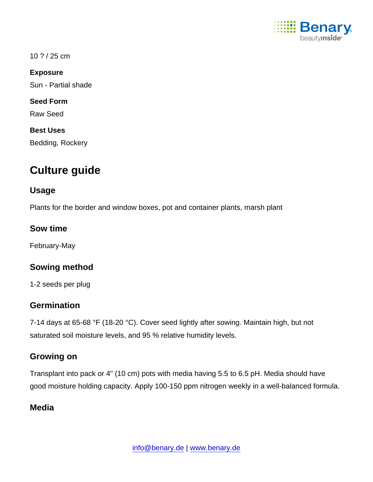

#### 10 ? / 25 cm

Exposure

Sun - Partial shade

Seed Form

Raw Seed

Best Uses

Bedding, Rockery

# Culture guide

#### Usage

Plants for the border and window boxes, pot and container plants, marsh plant

Sow time

February-May

Sowing method

1-2 seeds per plug

#### **Germination**

7-14 days at 65-68 °F (18-20 °C). Cover seed lightly after sowing. Maintain high, but not saturated soil moisture levels, and 95 % relative humidity levels.

#### Growing on

Transplant into pack or 4" (10 cm) pots with media having 5.5 to 6.5 pH. Media should have good moisture holding capacity. Apply 100-150 ppm nitrogen weekly in a well-balanced formula.

## **Media**